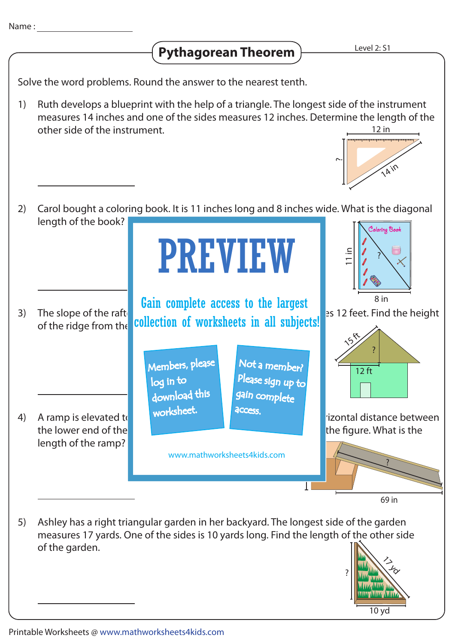## **Pythagorean Theorem**

Solve the word problems. Round the answer to the nearest tenth.

Ruth develops a blueprint with the help of a triangle. The longest side of the instrument measures 14 inches and one of the sides measures 12 inches. Determine the length of the other side of the instrument. 1) 12 in



- Carol bought a coloring book. It is 11 inches long and 8 inches wide. What is the diagonal length of the book? 2) The slope of the raft  $\begin{bmatrix} 1 & 1 \\ 1 & 1 \end{bmatrix}$  is 12 feet. Find the height of the ridge from the 3) A ramp is elevated to a height of 27 inches from the horizontal distance between the lower end of the ramp and the ramp and the base is the shown in the base is the shown in the gure. What is the length of the ramp? 4) 8 in ? 11 in ? 12 ft **15 ft** 27 in 69 in ? Coloring Book PREVIEW www.mathworksheets4kids.com Members, please download this worksheet. log in to Not a member? gain complete Please sign up to **access** Gain complete access to the largest collection of worksheets in all subjects!
- Ashley has a right triangular garden in her backyard. The longest side of the garden measures 17 yards. One of the sides is 10 yards long. Find the length of the other side of the garden. 5)